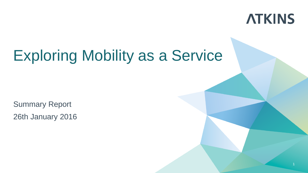

Summary Report 26th January 2016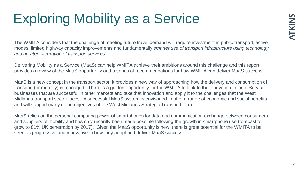The WMITA considers that the challenge of meeting future travel demand will require investment in public transport, active modes, limited highway capacity improvements and fundamentally *smarter use of transport infrastructure using technology and greater integration of transport services*.

Delivering Mobility as a Service (MaaS) can help WMITA achieve their ambitions around this challenge and this report provides a review of the MaaS opportunity and a series of recommendations for how WMITA can deliver MaaS success.

MaaS is a new concept in the transport sector; it provides a new way of approaching how the delivery and consumption of transport (or mobility) is managed. There is a golden opportunity for the WMITA to look to the innovation in 'as a Service' businesses that are successful in other markets and take that innovation and apply it to the challenges that the West Midlands transport sector faces. A successful MaaS system is envisaged to offer a range of economic and social benefits and will support many of the objectives of the West Midlands Strategic Transport Plan.

MaaS relies on the personal computing power of smartphones for data and communication exchange between consumers and suppliers of mobility and has only recently been made possible following the growth in smartphone use (forecast to grow to 81% UK penetration by 2017). Given the MaaS opportunity is new, there is great potential for the WMITA to be seen as progressive and innovative in how they adopt and deliver MaaS success.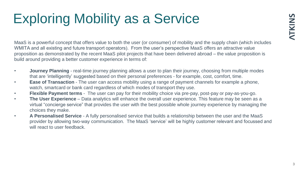MaaS is a powerful concept that offers value to both the user (or consumer) of mobility and the supply chain (which includes WMITA and all existing and future transport operators). From the user's perspective MaaS offers an attractive value proposition as demonstrated by the recent MaaS pilot projects that have been delivered abroad – the value proposition is build around providing a better customer experience in terms of:

- **Journey Planning**  real-time journey planning allows a user to plan their journey, choosing from multiple modes that are 'intelligently' suggested based on their personal preferences - for example, cost, comfort, time.
- **Ease of Transaction**  The user can access mobility using a range of payment channels for example a phone, watch, smartcard or bank card regardless of which modes of transport they use.
- **Flexible Payment terms**  The user can pay for their mobility choice via pre-pay, post-pay or pay-as-you-go.
- **The User Experience**  Data analytics will enhance the overall user experience. This feature may be seen as a virtual "concierge service" that provides the user with the best possible whole journey experience by managing the choices they make.
- **A Personalised Service**  A fully personalised service that builds a relationship between the user and the MaaS provider by allowing two-way communication. The MaaS 'service' will be highly customer relevant and focussed and will react to user feedback.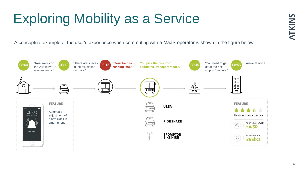A conceptual example of the user's experience when commuting with a MaaS operator is shown in the figure below.

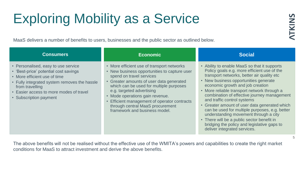MaaS delivers a number of benefits to users, businesses and the public sector as outlined below.

| <b>Consumers</b>                                                                                                                                                                                                                                     | <b>Economic</b>                                                                                                                                                                                                                                                                                                                                                                                    | <b>Social</b>                                                                                                                                                                                                                                                                                                                                                                                                                                                                                                                                                                                                                |
|------------------------------------------------------------------------------------------------------------------------------------------------------------------------------------------------------------------------------------------------------|----------------------------------------------------------------------------------------------------------------------------------------------------------------------------------------------------------------------------------------------------------------------------------------------------------------------------------------------------------------------------------------------------|------------------------------------------------------------------------------------------------------------------------------------------------------------------------------------------------------------------------------------------------------------------------------------------------------------------------------------------------------------------------------------------------------------------------------------------------------------------------------------------------------------------------------------------------------------------------------------------------------------------------------|
| • Personalised, easy to use service<br>• 'Best-price' potential cost savings<br>• More efficient use of time<br>• Fully integrated system removes the hassle<br>from travelling<br>• Easier access to more modes of travel<br>• Subscription payment | • More efficient use of transport networks<br>• New business opportunities to capture user<br>spend on travel services<br>• Greater amounts of user data generated<br>which can be used for multiple purposes<br>e.g. targeted advertising<br>• Mode operations gain revenue.<br>• Efficient management of operator contracts<br>through central MaaS procurement<br>framework and business model. | • Ability to enable MaaS so that it supports<br>Policy goals e.g. more efficient use of the<br>transport networks, better air quality etc<br>• New business opportunities generate<br>economic growth and job creation<br>• More reliable transport network through a<br>combination of effective journey management<br>and traffic control systems<br>• Greater amount of user data generated which<br>can be used for multiple purposes, e.g. better<br>understanding movement through a city<br>• There will be a public sector benefit in<br>bridging the policy and legislative gaps to<br>deliver integrated services. |
|                                                                                                                                                                                                                                                      |                                                                                                                                                                                                                                                                                                                                                                                                    |                                                                                                                                                                                                                                                                                                                                                                                                                                                                                                                                                                                                                              |

The above benefits will not be realised without the effective use of the WMITA's powers and capabilities to create the right market conditions for MaaS to attract investment and derive the above benefits.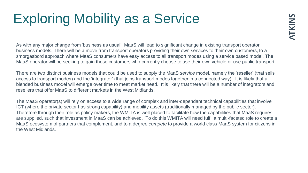As with any major change from 'business as usual', MaaS will lead to significant change in existing transport operator business models. There will be a move from transport operators providing their own services to their own customers, to a smorgasbord approach where MaaS consumers have easy access to all transport modes using a service based model. The MaaS operator will be seeking to gain those customers who currently choose to use their own vehicle or use public transport.

There are two distinct business models that could be used to supply the MaaS *service* model, namely the 'reseller' (that sells access to transport modes) and the 'integrator' (that joins transport modes together in a connected way). It is likely that a blended business model will emerge over time to meet market need. It is likely that there will be a number of integrators and resellers that offer MaaS to different markets in the West Midlands.

The MaaS operator(s) will rely on access to a wide range of complex and inter-dependant technical capabilities that involve ICT (where the private sector has strong capability) and mobility assets (traditionally managed by the public sector). Therefore through their role as policy makers, the WMITA is well placed to facilitate how the capabilities that MaaS requires are supplied, such that investment in MaaS can be achieved. To do this WMITA will need fulfil a multi-faceted role to create a MaaS ecosystem of partners that complement, and to a degree *compete* to provide a world class MaaS system for citizens in the West Midlands.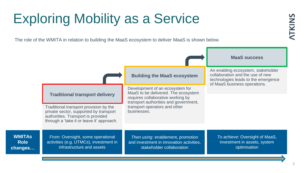**WM Role changes…**

The role of the WMITA in relation to building the MaaS ecosystem to deliver MaaS is shown below.

|                            |                                                                                                                                                                     |                                                                                                                                                      | <b>MaaS success</b>                                                                                                                           |
|----------------------------|---------------------------------------------------------------------------------------------------------------------------------------------------------------------|------------------------------------------------------------------------------------------------------------------------------------------------------|-----------------------------------------------------------------------------------------------------------------------------------------------|
|                            |                                                                                                                                                                     | <b>Building the MaaS ecosystem</b>                                                                                                                   | An enabling ecosystem, stakeholder<br>collaboration and the use of new<br>technologies leads to the emergence<br>of MaaS business operations. |
|                            | <b>Traditional transport delivery</b>                                                                                                                               | Development of an ecosystem for<br>MaaS to be delivered. The ecosystem<br>requires collaborative working by<br>transport authorities and government, |                                                                                                                                               |
|                            | Traditional transport provision by the<br>private sector, supported by transport<br>authorities. Transport is provided<br>through a 'take it or leave it' approach. | transport operators and other<br>businesses.                                                                                                         |                                                                                                                                               |
| <b>ITAs</b><br>olel<br>ges | From: Oversight, some operational<br>activities (e.g. UTMCs), investment in<br>infrastructure and assets                                                            | Then using: enablement, promotion<br>and investment in innovation activities,<br>stakeholder collaboration                                           | To achieve: Oversight of MaaS,<br>investment in assets, system<br>optimisation                                                                |
|                            |                                                                                                                                                                     |                                                                                                                                                      |                                                                                                                                               |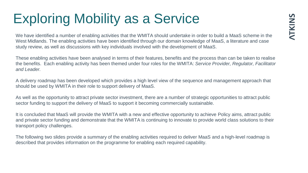We have identified a number of enabling activities that the WMITA should undertake in order to build a MaaS scheme in the West Midlands. The enabling activities have been identified through our domain knowledge of MaaS, a literature and case study review, as well as discussions with key individuals involved with the development of MaaS.

These enabling activities have been analysed in terms of their features, benefits and the process than can be taken to realise the benefits. Each enabling activity has been themed under four roles for the WMITA: *Service Provider, Regulator, Facilitator and Leader.* 

A delivery roadmap has been developed which provides a high level view of the sequence and management approach that should be used by WMITA in their role to support delivery of MaaS.

As well as the opportunity to attract private sector investment, there are a number of strategic opportunities to attract public sector funding to support the delivery of MaaS to support it becoming commercially sustainable.

It is concluded that MaaS will provide the WMITA with a new and effective opportunity to achieve Policy aims, attract public and private sector funding and demonstrate that the WMITA is continuing to innovate to provide world class solutions to their transport policy challenges.

The following two slides provide a summary of the enabling activities required to deliver MaaS and a high-level roadmap is described that provides information on the programme for enabling each required capability.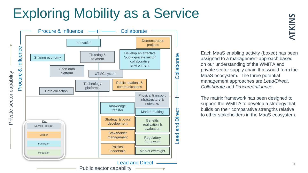

**ATKINS** 

Each MaaS enabling activity (boxed) has been assigned to a management approach based on our understanding of the WMITA and private sector supply chain that would form the MaaS ecosystem. The three potential management approaches are *Lead/Direct*, *Collaborate* and *Procure/Influence*.

The matrix framework has been designed to support the WMITA to develop a strategy that builds on their comparative strengths relative to other stakeholders in the MaaS ecosystem.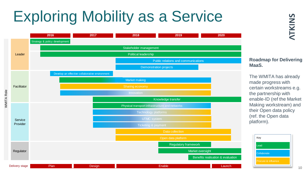

# **NTKINS**

#### **Roadmap for Delivering MaaS.**

The WMITA has already made progress with certain workstreams e.g. the partnership with enable-ID (ref the Market Making workstream) and their Open data policy (ref. the Open data platform).



10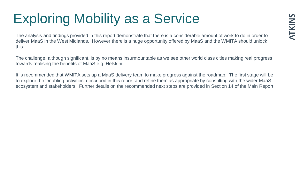The analysis and findings provided in this report demonstrate that there is a considerable amount of work to do in order to deliver MaaS in the West Midlands. However there is a huge opportunity offered by MaaS and the WMITA should unlock this.

The challenge, although significant, is by no means insurmountable as we see other world class cities making real progress towards realising the benefits of MaaS e.g. Helskini.

It is recommended that WMITA sets up a MaaS delivery team to make progress against the roadmap. The first stage will be to explore the 'enabling activities' described in this report and refine them as appropriate by consulting with the wider MaaS ecosystem and stakeholders. Further details on the recommended next steps are provided in Section 14 of the Main Report.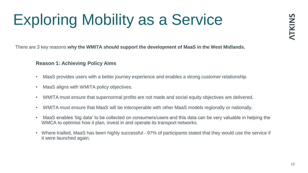There are 3 key reasons **why the WMITA should support the development of MaaS in the West Midlands.**

### **Reason 1: Achieving Policy Aims**

- MaaS provides users with a better journey experience and enables a strong customer relationship.
- MaaS aligns with WMITA policy objectives.
- WMITA must ensure that supernormal profits are not made and social equity objectives are delivered.
- WMITA must ensure that MaaS will be interoperable with other MaaS models regionally or nationally.
- MaaS enables 'big data' to be collected on consumers/users and this data can be very valuable in helping the WMCA to optimise how it plan, invest in and operate its transport networks.
- Where trialled, MaaS has been highly successful 97% of participants stated that they would use the service if it were launched again.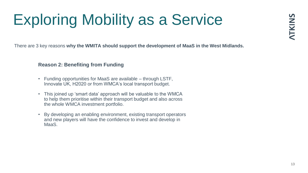There are 3 key reasons **why the WMITA should support the development of MaaS in the West Midlands.**

### **Reason 2: Benefiting from Funding**

- Funding opportunities for MaaS are available through LSTF, Innovate UK, H2020 or from WMCA's local transport budget.
- This joined up 'smart data' approach will be valuable to the WMCA to help them prioritise within their transport budget and also across the whole WMCA investment portfolio.
- By developing an enabling environment, existing transport operators and new players will have the confidence to invest and develop in MaaS.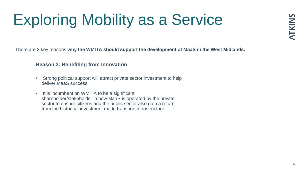There are 3 key reasons **why the WMITA should support the development of MaaS in the West Midlands.**

### **Reason 3: Benefiting from Innovation**

- Strong political support will attract private sector investment to help deliver MaaS success.
- It is incumbent on WMITA to be a significant shareholder/stakeholder in how MaaS is operated by the private sector to ensure citizens and the public sector also gain a return from the historical investment made transport infrastructure.